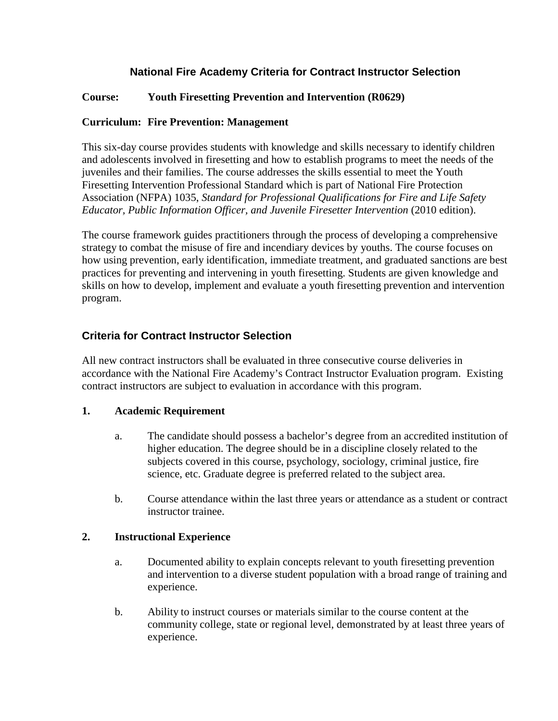# **National Fire Academy Criteria for Contract Instructor Selection**

### **Course: Youth Firesetting Prevention and Intervention (R0629)**

### **Curriculum: Fire Prevention: Management**

This six-day course provides students with knowledge and skills necessary to identify children and adolescents involved in firesetting and how to establish programs to meet the needs of the juveniles and their families. The course addresses the skills essential to meet the Youth Firesetting Intervention Professional Standard which is part of National Fire Protection Association (NFPA) 1035, *Standard for Professional Qualifications for Fire and Life Safety Educator, Public Information Officer, and Juvenile Firesetter Intervention (2010 edition).* 

The course framework guides practitioners through the process of developing a comprehensive strategy to combat the misuse of fire and incendiary devices by youths. The course focuses on how using prevention, early identification, immediate treatment, and graduated sanctions are best practices for preventing and intervening in youth firesetting. Students are given knowledge and skills on how to develop, implement and evaluate a youth firesetting prevention and intervention program.

# **Criteria for Contract Instructor Selection**

All new contract instructors shall be evaluated in three consecutive course deliveries in accordance with the National Fire Academy's Contract Instructor Evaluation program. Existing contract instructors are subject to evaluation in accordance with this program.

### **1. Academic Requirement**

- a. The candidate should possess a bachelor's degree from an accredited institution of higher education. The degree should be in a discipline closely related to the subjects covered in this course, psychology, sociology, criminal justice, fire science, etc. Graduate degree is preferred related to the subject area.
- b. Course attendance within the last three years or attendance as a student or contract instructor trainee.

### **2. Instructional Experience**

- a. Documented ability to explain concepts relevant to youth firesetting prevention and intervention to a diverse student population with a broad range of training and experience.
- b. Ability to instruct courses or materials similar to the course content at the community college, state or regional level, demonstrated by at least three years of experience.